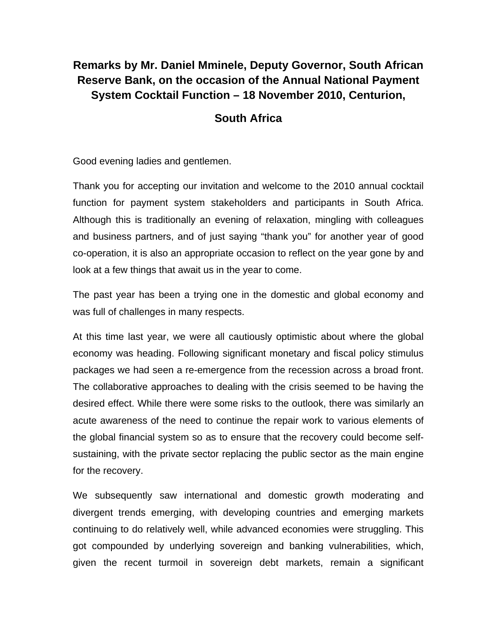## **Remarks by Mr. Daniel Mminele, Deputy Governor, South African Reserve Bank, on the occasion of the Annual National Payment System Cocktail Function – 18 November 2010, Centurion,**

## **South Africa**

Good evening ladies and gentlemen.

Thank you for accepting our invitation and welcome to the 2010 annual cocktail function for payment system stakeholders and participants in South Africa. Although this is traditionally an evening of relaxation, mingling with colleagues and business partners, and of just saying "thank you" for another year of good co-operation, it is also an appropriate occasion to reflect on the year gone by and look at a few things that await us in the year to come.

The past year has been a trying one in the domestic and global economy and was full of challenges in many respects.

At this time last year, we were all cautiously optimistic about where the global economy was heading. Following significant monetary and fiscal policy stimulus packages we had seen a re-emergence from the recession across a broad front. The collaborative approaches to dealing with the crisis seemed to be having the desired effect. While there were some risks to the outlook, there was similarly an acute awareness of the need to continue the repair work to various elements of the global financial system so as to ensure that the recovery could become selfsustaining, with the private sector replacing the public sector as the main engine for the recovery.

We subsequently saw international and domestic growth moderating and divergent trends emerging, with developing countries and emerging markets continuing to do relatively well, while advanced economies were struggling. This got compounded by underlying sovereign and banking vulnerabilities, which, given the recent turmoil in sovereign debt markets, remain a significant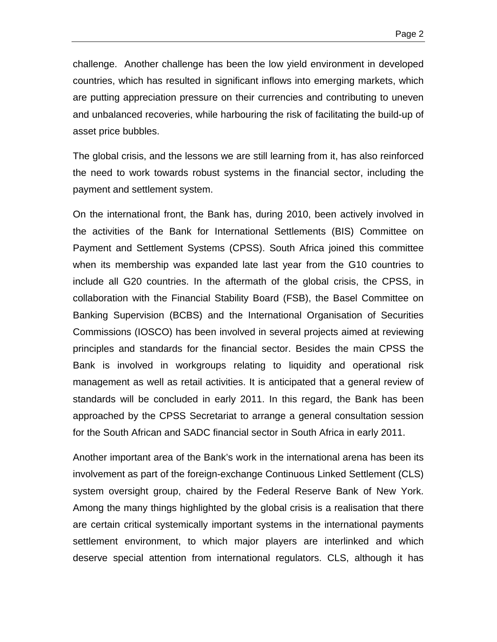challenge. Another challenge has been the low yield environment in developed countries, which has resulted in significant inflows into emerging markets, which are putting appreciation pressure on their currencies and contributing to uneven and unbalanced recoveries, while harbouring the risk of facilitating the build-up of asset price bubbles.

The global crisis, and the lessons we are still learning from it, has also reinforced the need to work towards robust systems in the financial sector, including the payment and settlement system.

On the international front, the Bank has, during 2010, been actively involved in the activities of the Bank for International Settlements (BIS) Committee on Payment and Settlement Systems (CPSS). South Africa joined this committee when its membership was expanded late last year from the G10 countries to include all G20 countries. In the aftermath of the global crisis, the CPSS, in collaboration with the Financial Stability Board (FSB), the Basel Committee on Banking Supervision (BCBS) and the International Organisation of Securities Commissions (IOSCO) has been involved in several projects aimed at reviewing principles and standards for the financial sector. Besides the main CPSS the Bank is involved in workgroups relating to liquidity and operational risk management as well as retail activities. It is anticipated that a general review of standards will be concluded in early 2011. In this regard, the Bank has been approached by the CPSS Secretariat to arrange a general consultation session for the South African and SADC financial sector in South Africa in early 2011.

Another important area of the Bank's work in the international arena has been its involvement as part of the foreign-exchange Continuous Linked Settlement (CLS) system oversight group, chaired by the Federal Reserve Bank of New York. Among the many things highlighted by the global crisis is a realisation that there are certain critical systemically important systems in the international payments settlement environment, to which major players are interlinked and which deserve special attention from international regulators. CLS, although it has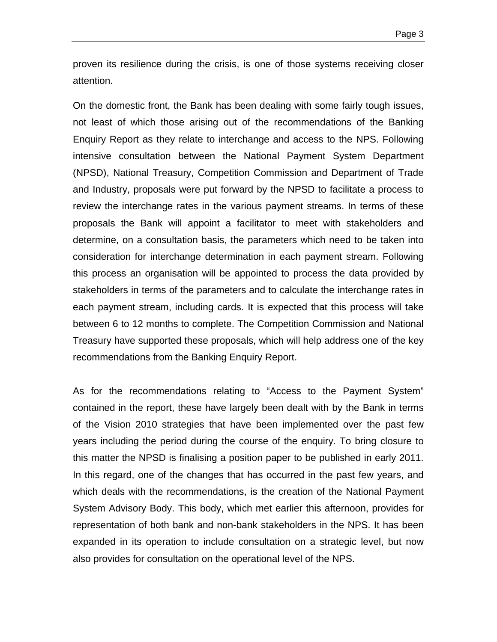proven its resilience during the crisis, is one of those systems receiving closer attention.

On the domestic front, the Bank has been dealing with some fairly tough issues, not least of which those arising out of the recommendations of the Banking Enquiry Report as they relate to interchange and access to the NPS. Following intensive consultation between the National Payment System Department (NPSD), National Treasury, Competition Commission and Department of Trade and Industry, proposals were put forward by the NPSD to facilitate a process to review the interchange rates in the various payment streams. In terms of these proposals the Bank will appoint a facilitator to meet with stakeholders and determine, on a consultation basis, the parameters which need to be taken into consideration for interchange determination in each payment stream. Following this process an organisation will be appointed to process the data provided by stakeholders in terms of the parameters and to calculate the interchange rates in each payment stream, including cards. It is expected that this process will take between 6 to 12 months to complete. The Competition Commission and National Treasury have supported these proposals, which will help address one of the key recommendations from the Banking Enquiry Report.

As for the recommendations relating to "Access to the Payment System" contained in the report, these have largely been dealt with by the Bank in terms of the Vision 2010 strategies that have been implemented over the past few years including the period during the course of the enquiry. To bring closure to this matter the NPSD is finalising a position paper to be published in early 2011. In this regard, one of the changes that has occurred in the past few years, and which deals with the recommendations, is the creation of the National Payment System Advisory Body. This body, which met earlier this afternoon, provides for representation of both bank and non-bank stakeholders in the NPS. It has been expanded in its operation to include consultation on a strategic level, but now also provides for consultation on the operational level of the NPS.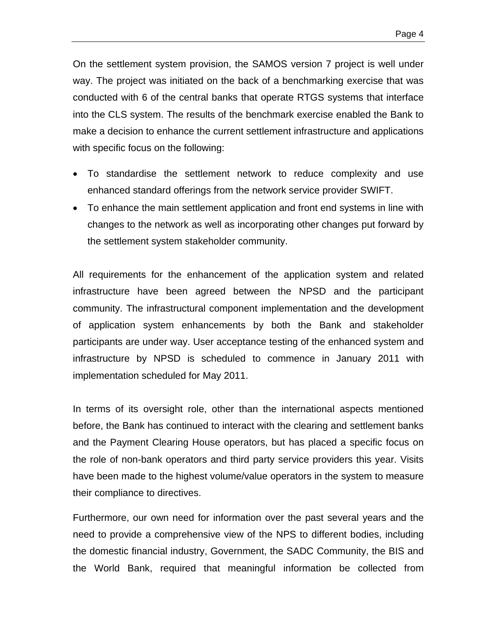On the settlement system provision, the SAMOS version 7 project is well under way. The project was initiated on the back of a benchmarking exercise that was conducted with 6 of the central banks that operate RTGS systems that interface into the CLS system. The results of the benchmark exercise enabled the Bank to make a decision to enhance the current settlement infrastructure and applications with specific focus on the following:

- To standardise the settlement network to reduce complexity and use enhanced standard offerings from the network service provider SWIFT.
- To enhance the main settlement application and front end systems in line with changes to the network as well as incorporating other changes put forward by the settlement system stakeholder community.

All requirements for the enhancement of the application system and related infrastructure have been agreed between the NPSD and the participant community. The infrastructural component implementation and the development of application system enhancements by both the Bank and stakeholder participants are under way. User acceptance testing of the enhanced system and infrastructure by NPSD is scheduled to commence in January 2011 with implementation scheduled for May 2011.

In terms of its oversight role, other than the international aspects mentioned before, the Bank has continued to interact with the clearing and settlement banks and the Payment Clearing House operators, but has placed a specific focus on the role of non-bank operators and third party service providers this year. Visits have been made to the highest volume/value operators in the system to measure their compliance to directives.

Furthermore, our own need for information over the past several years and the need to provide a comprehensive view of the NPS to different bodies, including the domestic financial industry, Government, the SADC Community, the BIS and the World Bank, required that meaningful information be collected from